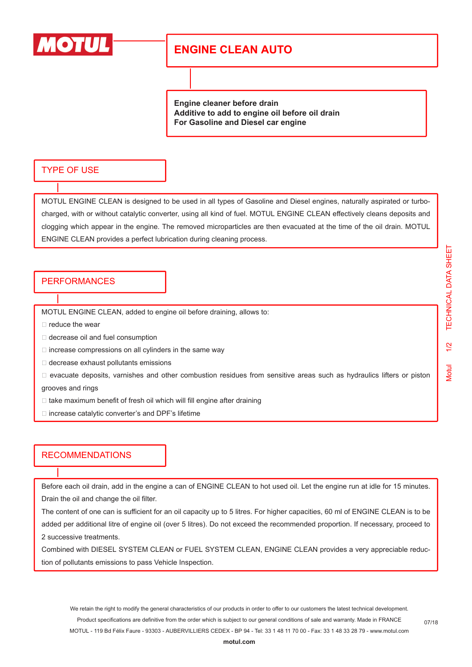

# **ENGINE CLEAN AUTO**

**Engine cleaner before drain Additive to add to engine oil before oil drain For Gasoline and Diesel car engine**

### TYPE OF USE

MOTUL ENGINE CLEAN is designed to be used in all types of Gasoline and Diesel engines, naturally aspirated or turbocharged, with or without catalytic converter, using all kind of fuel. MOTUL ENGINE CLEAN effectively cleans deposits and clogging which appear in the engine. The removed microparticles are then evacuated at the time of the oil drain. MOTUL ENGINE CLEAN provides a perfect lubrication during cleaning process.

## **PERFORMANCES**

MOTUL ENGINE CLEAN, added to engine oil before draining, allows to:

 $\Box$  reduce the wear

- □ decrease oil and fuel consumption
- $\Box$  increase compressions on all cylinders in the same way
- $\Box$  decrease exhaust pollutants emissions
- $\Box$  evacuate deposits, varnishes and other combustion residues from sensitive areas such as hydraulics lifters or piston

grooves and rings

- $\Box$  take maximum benefit of fresh oil which will fill engine after draining
- $\Box$  increase catalytic converter's and DPF's lifetime

### RECOMMENDATIONS

Before each oil drain, add in the engine a can of ENGINE CLEAN to hot used oil. Let the engine run at idle for 15 minutes. Drain the oil and change the oil filter.

The content of one can is sufficient for an oil capacity up to 5 litres. For higher capacities, 60 ml of ENGINE CLEAN is to be added per additional litre of engine oil (over 5 litres). Do not exceed the recommended proportion. If necessary, proceed to 2 successive treatments.

Combined with DIESEL SYSTEM CLEAN or FUEL SYSTEM CLEAN, ENGINE CLEAN provides a very appreciable reduction of pollutants emissions to pass Vehicle Inspection.

We retain the right to modify the general characteristics of our products in order to offer to our customers the latest technical development. Product specifications are definitive from the order which is subject to our general conditions of sale and warranty. Made in FRANCE MOTUL - 119 Bd Félix Faure - 93303 - AUBERVILLIERS CEDEX - BP 94 - Tel: 33 1 48 11 70 00 - Fax: 33 1 48 33 28 79 - www.motul.com